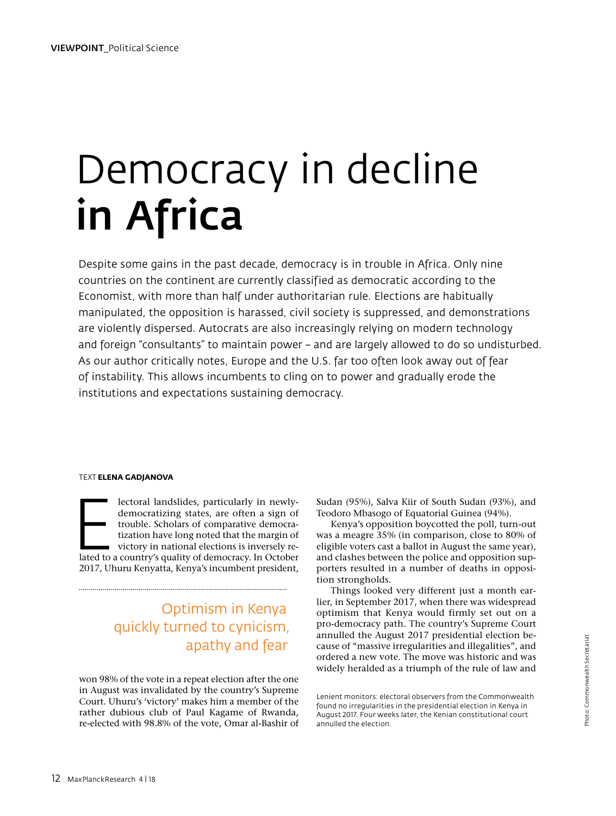# Democracy in decline in Africa

Despite some gains in the past decade, democracy is in trouble in Africa. Only nine countries on the continent are currently classified as democratic according to the Economist, with more than half under authoritarian rule. Elections are habitually manipulated, the opposition is harassed, civil society is suppressed, and demonstrations are violently dispersed. Autocrats are also increasingly relying on modern technology and foreign "consultants" to maintain power – and are largely allowed to do so undisturbed. As our author critically notes, Europe and the U.S. far too often look away out of fear of instability. This allows incumbents to cling on to power and gradually erode the institutions and expectations sustaining democracy.

#### TEXT **ELENA GADJANOVA**

lectoral landslides, particularly in newly-<br>democratizing states, are often a sign of<br>trouble. Scholars of comparative democra-<br>tization have long noted that the margin of<br>victory in national elections is inversely re-<br>lat democratizing states, are often a sign of trouble. Scholars of comparative democratization have long noted that the margin of victory in national elections is inversely re-2017, Uhuru Kenyatta, Kenya's incumbent president,

## Optimism in Kenya quickly turned to cynicism, apathy and fear

won 98% of the vote in a repeat election after the one in August was invalidated by the country's Supreme Court. Uhuru's 'victory' makes him a member of the rather dubious club of Paul Kagame of Rwanda, re-elected with 98.8% of the vote, Omar al-Bashir of Sudan (95%), Salva Kiir of South Sudan (93%), and Teodoro Mbasogo of Equatorial Guinea (94%).

Kenya's opposition boycotted the poll, turn-out was a meagre 35% (in comparison, close to 80% of eligible voters cast a ballot in August the same year), and clashes between the police and opposition supporters resulted in a number of deaths in opposition strongholds.

Things looked very different just a month earlier, in September 2017, when there was widespread optimism that Kenya would firmly set out on a pro-democracy path. The country's Supreme Court annulled the August 2017 presidential election because of "massive irregularities and illegalities", and ordered a new vote. The move was historic and was widely heralded as a triumph of the rule of law and

Lenient monitors: electoral observers from the Commonwealth found no irregularities in the presidential election in Kenya in August 2017. Four weeks later, the Kenian constitutional court annulled the election.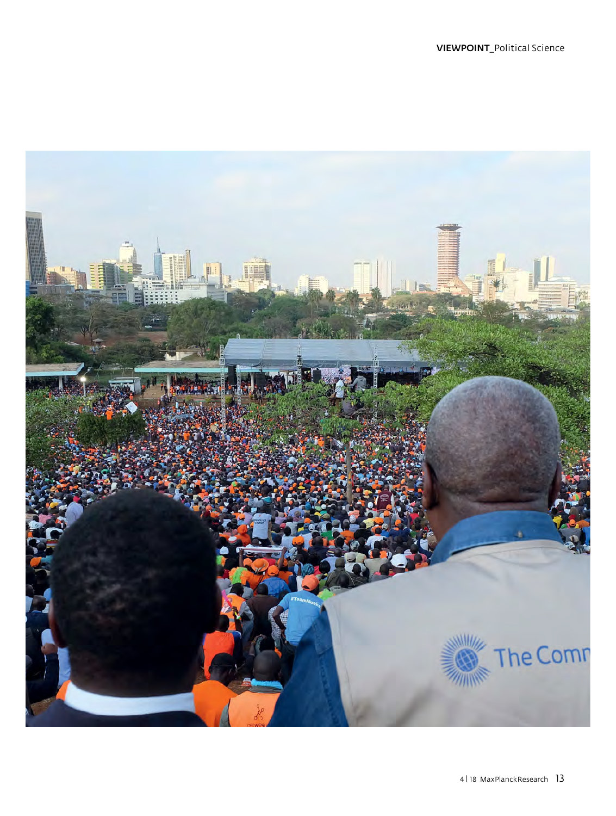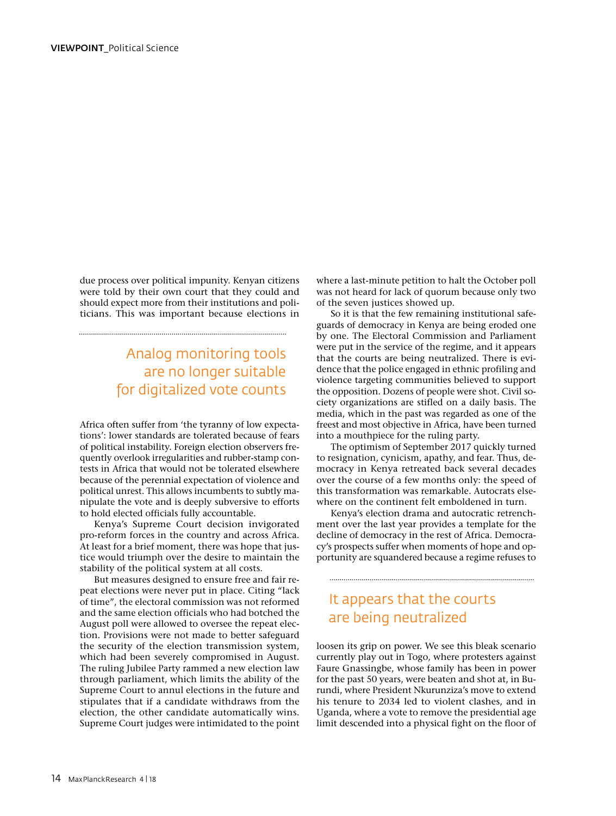due process over political impunity. Kenyan citizens were told by their own court that they could and should expect more from their institutions and politicians. This was important because elections in

## Analog monitoring tools are no longer suitable for digitalized vote counts

Africa often suffer from 'the tyranny of low expectations': lower standards are tolerated because of fears of political instability. Foreign election observers frequently overlook irregularities and rubber-stamp contests in Africa that would not be tolerated elsewhere because of the perennial expectation of violence and political unrest. This allows incumbents to subtly manipulate the vote and is deeply subversive to efforts to hold elected officials fully accountable.

Kenya's Supreme Court decision invigorated pro-reform forces in the country and across Africa. At least for a brief moment, there was hope that justice would triumph over the desire to maintain the stability of the political system at all costs.

But measures designed to ensure free and fair repeat elections were never put in place. Citing "lack of time", the electoral commission was not reformed and the same election officials who had botched the August poll were allowed to oversee the repeat election. Provisions were not made to better safeguard the security of the election transmission system, which had been severely compromised in August. The ruling Jubilee Party rammed a new election law through parliament, which limits the ability of the Supreme Court to annul elections in the future and stipulates that if a candidate withdraws from the election, the other candidate automatically wins. Supreme Court judges were intimidated to the point

where a last-minute petition to halt the October poll was not heard for lack of quorum because only two of the seven justices showed up.

So it is that the few remaining institutional safeguards of democracy in Kenya are being eroded one by one. The Electoral Commission and Parliament were put in the service of the regime, and it appears that the courts are being neutralized. There is evidence that the police engaged in ethnic profiling and violence targeting communities believed to support the opposition. Dozens of people were shot. Civil society organizations are stifled on a daily basis. The media, which in the past was regarded as one of the freest and most objective in Africa, have been turned into a mouthpiece for the ruling party.

The optimism of September 2017 quickly turned to resignation, cynicism, apathy, and fear. Thus, democracy in Kenya retreated back several decades over the course of a few months only: the speed of this transformation was remarkable. Autocrats elsewhere on the continent felt emboldened in turn.

Kenya's election drama and autocratic retrenchment over the last year provides a template for the decline of democracy in the rest of Africa. Democracy's prospects suffer when moments of hope and opportunity are squandered because a regime refuses to

## It appears that the courts are being neutralized

loosen its grip on power. We see this bleak scenario currently play out in Togo, where protesters against Faure Gnassingbe, whose family has been in power for the past 50 years, were beaten and shot at, in Burundi, where President Nkurunziza's move to extend his tenure to 2034 led to violent clashes, and in Uganda, where a vote to remove the presidential age limit descended into a physical fight on the floor of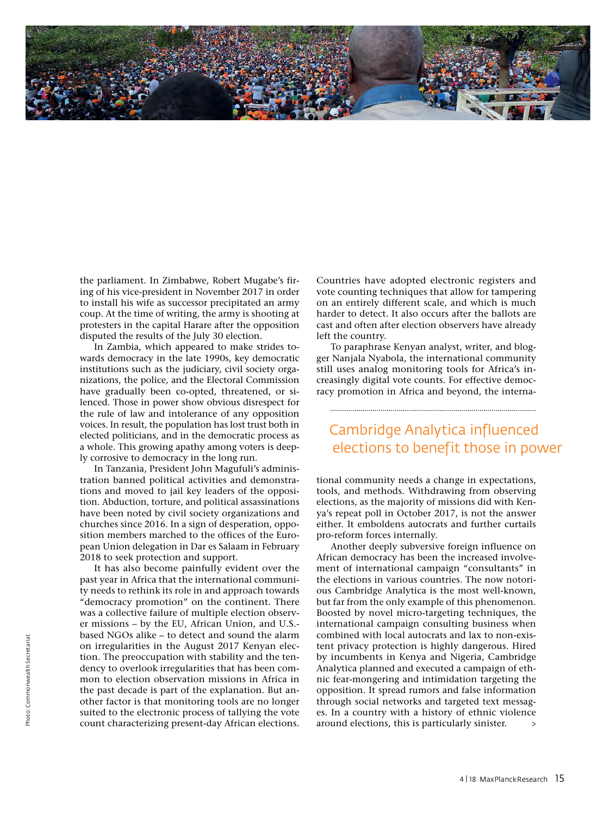

the parliament. In Zimbabwe, Robert Mugabe's firing of his vice-president in November 2017 in order to install his wife as successor precipitated an army coup. At the time of writing, the army is shooting at protesters in the capital Harare after the opposition disputed the results of the July 30 election.

In Zambia, which appeared to make strides towards democracy in the late 1990s, key democratic institutions such as the judiciary, civil society organizations, the police, and the Electoral Commission have gradually been co-opted, threatened, or silenced. Those in power show obvious disrespect for the rule of law and intolerance of any opposition voices. In result, the population has lost trust both in elected politicians, and in the democratic process as a whole. This growing apathy among voters is deeply corrosive to democracy in the long run.

In Tanzania, President John Magufuli's administration banned political activities and demonstrations and moved to jail key leaders of the opposition. Abduction, torture, and political assassinations have been noted by civil society organizations and churches since 2016. In a sign of desperation, opposition members marched to the offices of the European Union delegation in Dar es Salaam in February 2018 to seek protection and support.

It has also become painfully evident over the past year in Africa that the international community needs to rethink its role in and approach towards "democracy promotion" on the continent. There was a collective failure of multiple election observer missions – by the EU, African Union, and U.S. based NGOs alike – to detect and sound the alarm on irregularities in the August 2017 Kenyan election. The preoccupation with stability and the tendency to overlook irregularities that has been common to election observation missions in Africa in the past decade is part of the explanation. But another factor is that monitoring tools are no longer suited to the electronic process of tallying the vote count characterizing present-day African elections.

Countries have adopted electronic registers and vote counting techniques that allow for tampering on an entirely different scale, and which is much harder to detect. It also occurs after the ballots are cast and often after election observers have already left the country.

To paraphrase Kenyan analyst, writer, and blogger Nanjala Nyabola, the international community still uses analog monitoring tools for Africa's increasingly digital vote counts. For effective democracy promotion in Africa and beyond, the interna-

### Cambridge Analytica influenced elections to benefit those in power

tional community needs a change in expectations, tools, and methods. Withdrawing from observing elections, as the majority of missions did with Kenya's repeat poll in October 2017, is not the answer either. It emboldens autocrats and further curtails pro-reform forces internally.

Another deeply subversive foreign influence on African democracy has been the increased involvement of international campaign "consultants" in the elections in various countries. The now notorious Cambridge Analytica is the most well-known, but far from the only example of this phenomenon. Boosted by novel micro-targeting techniques, the international campaign consulting business when combined with local autocrats and lax to non-existent privacy protection is highly dangerous. Hired by incumbents in Kenya and Nigeria, Cambridge Analytica planned and executed a campaign of ethnic fear-mongering and intimidation targeting the opposition. It spread rumors and false information through social networks and targeted text messages. In a country with a history of ethnic violence around elections, this is particularly sinister. >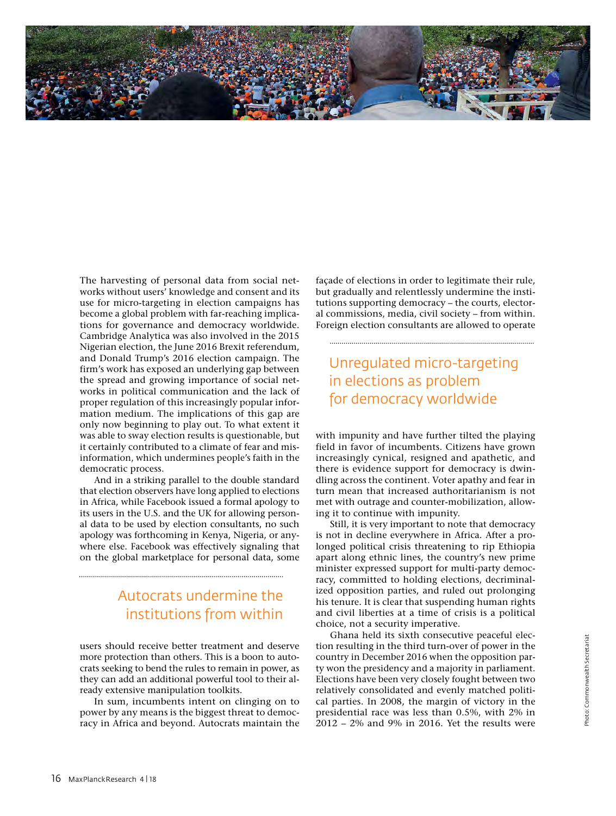

The harvesting of personal data from social networks without users' knowledge and consent and its use for micro-targeting in election campaigns has become a global problem with far-reaching implications for governance and democracy worldwide. Cambridge Analytica was also involved in the 2015 Nigerian election, the June 2016 Brexit referendum, and Donald Trump's 2016 election campaign. The firm's work has exposed an underlying gap between the spread and growing importance of social networks in political communication and the lack of proper regulation of this increasingly popular information medium. The implications of this gap are only now beginning to play out. To what extent it was able to sway election results is questionable, but it certainly contributed to a climate of fear and misinformation, which undermines people's faith in the democratic process.

And in a striking parallel to the double standard that election observers have long applied to elections in Africa, while Facebook issued a formal apology to its users in the U.S. and the UK for allowing personal data to be used by election consultants, no such apology was forthcoming in Kenya, Nigeria, or anywhere else. Facebook was effectively signaling that on the global marketplace for personal data, some

#### Autocrats undermine the institutions from within

users should receive better treatment and deserve more protection than others. This is a boon to autocrats seeking to bend the rules to remain in power, as they can add an additional powerful tool to their already extensive manipulation toolkits.

In sum, incumbents intent on clinging on to power by any means is the biggest threat to democracy in Africa and beyond. Autocrats maintain the façade of elections in order to legitimate their rule, but gradually and relentlessly undermine the institutions supporting democracy – the courts, electoral commissions, media, civil society – from within. Foreign election consultants are allowed to operate

#### 

### Unregulated micro-targeting in elections as problem for democracy worldwide

with impunity and have further tilted the playing field in favor of incumbents. Citizens have grown increasingly cynical, resigned and apathetic, and there is evidence support for democracy is dwindling across the continent. Voter apathy and fear in turn mean that increased authoritarianism is not met with outrage and counter-mobilization, allowing it to continue with impunity.

Still, it is very important to note that democracy is not in decline everywhere in Africa. After a prolonged political crisis threatening to rip Ethiopia apart along ethnic lines, the country's new prime minister expressed support for multi-party democracy, committed to holding elections, decriminalized opposition parties, and ruled out prolonging his tenure. It is clear that suspending human rights and civil liberties at a time of crisis is a political choice, not a security imperative.

Ghana held its sixth consecutive peaceful election resulting in the third turn-over of power in the country in December 2016 when the opposition party won the presidency and a majority in parliament. Elections have been very closely fought between two relatively consolidated and evenly matched political parties. In 2008, the margin of victory in the presidential race was less than 0.5%, with 2% in 2012 – 2% and 9% in 2016. Yet the results were